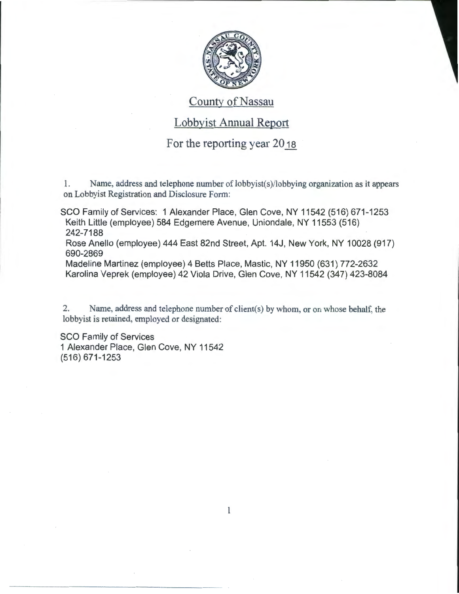

## County of Nassau

## Lobbyist Annual Report

## For the reporting year 2018

1. Name, address and telephone number of lobbyist(s)/lobbying organization as it appears on Lobbyist Registration and Disclosure Form:

SCO Family of Services: 1 Alexander Place, Glen Cove, NY 11542 (516) 671-1253 Keith Little (employee) 584 Edgemere Avenue, Uniondale, NY 11553 (516) 242-7188

Rose Anello (employee) 444 East 82nd Street, Apt. 14J, New York, NY 10028 (917) 690-2869

Madeline Martinez (employee) 4 Betts Place, Mastic, NY 11950 (631) 772-2632 Karolina Veprek (employee) 42 Viola Drive, Glen Cove, NY 11542 (347) 423-8084

2. Name, address and telephone number of client(s) by whom, or on whose behalf, the lobbyist is retained, employed or designated:

SCO Family of Services 1 Alexander Place, Glen Cove, NY 11542 (516) 671-1253

 $\mathbf{l}$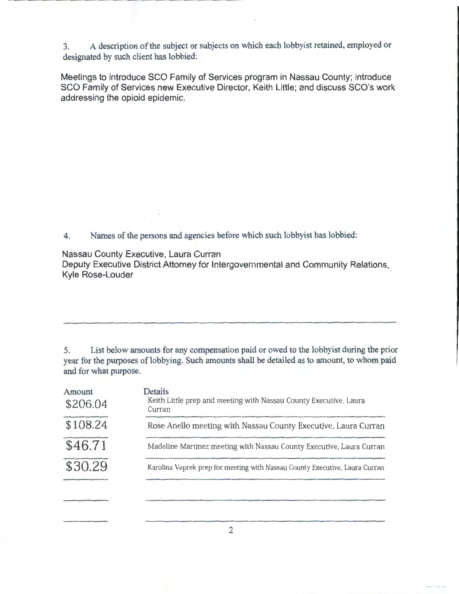3. A description of the subject or subjects on which each lobbyist retained, employed or designated by such client has lobbied:

Meetings to introduce SCO Family of Services program in Nassau County; introduce SCO Family of Services new Executive Director, Keith Little; and discuss SCO's work addressing the opioid epidemic.

4. Names of the persons and agencies before which such lobbyist has lobbied:

Nassau County Executive, Laura Curran

Deputy Executive District Attorney for Intergovernmental and Community Relations, Kyle Rose-Louder

5. List below amounts for any compensation paid or owed to the lobbyist during the prior year for the purposes of lobbying. Such amounts shall be detailed as to amount, to whom paid and for what purpose.

| Amount<br>\$206.04                                                                     | Details<br>Keith Little prep and meeting with Nassau County Executive, Laura<br>Curran |  |  |
|----------------------------------------------------------------------------------------|----------------------------------------------------------------------------------------|--|--|
| \$108.24                                                                               | Rose Anello meeting with Nassau County Executive, Laura Curran                         |  |  |
| \$46.71                                                                                | Madeline Martinez meeting with Nassau County Executive, Laura Curran                   |  |  |
| \$30.29<br>Karolina Veprek prep for meeting with Nassau County Executive, Laura Curran |                                                                                        |  |  |
|                                                                                        |                                                                                        |  |  |

2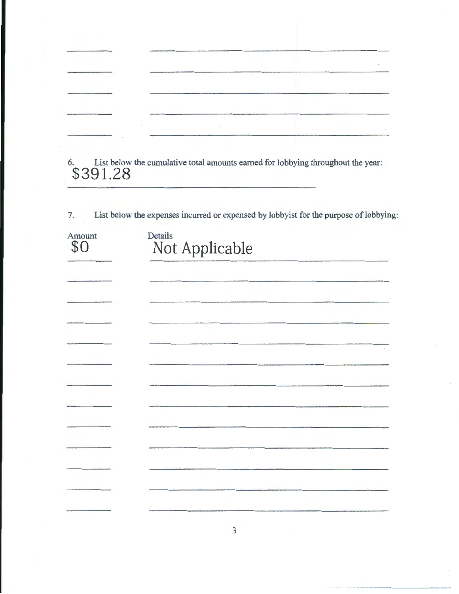6. List below the cumulative total amounts earned for lobbying throughout the year: **\$391.28** 

7. List below the expenses incurred or expensed by lobbyist for the purpose of lobbying:

| Amount<br>\$0 | Details<br>Not Applicable |  |
|---------------|---------------------------|--|
|               |                           |  |
|               |                           |  |
|               |                           |  |
|               |                           |  |
|               |                           |  |
|               |                           |  |
|               |                           |  |
|               |                           |  |
|               |                           |  |
|               |                           |  |
|               |                           |  |